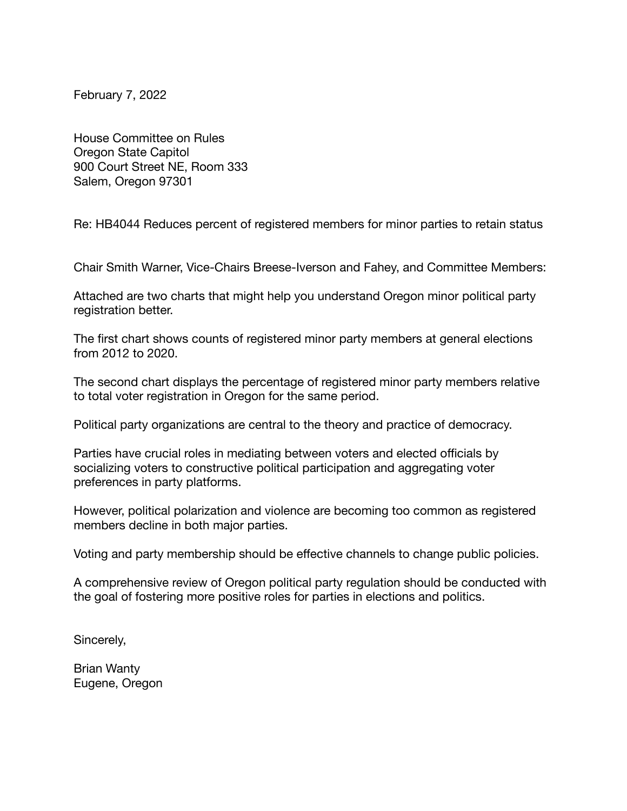February 7, 2022

House Committee on Rules Oregon State Capitol 900 Court Street NE, Room 333 Salem, Oregon 97301

Re: HB4044 Reduces percent of registered members for minor parties to retain status

Chair Smith Warner, Vice-Chairs Breese-Iverson and Fahey, and Committee Members:

Attached are two charts that might help you understand Oregon minor political party registration better.

The first chart shows counts of registered minor party members at general elections from 2012 to 2020.

The second chart displays the percentage of registered minor party members relative to total voter registration in Oregon for the same period.

Political party organizations are central to the theory and practice of democracy.

Parties have crucial roles in mediating between voters and elected officials by socializing voters to constructive political participation and aggregating voter preferences in party platforms.

However, political polarization and violence are becoming too common as registered members decline in both major parties.

Voting and party membership should be effective channels to change public policies.

A comprehensive review of Oregon political party regulation should be conducted with the goal of fostering more positive roles for parties in elections and politics.

Sincerely,

Brian Wanty Eugene, Oregon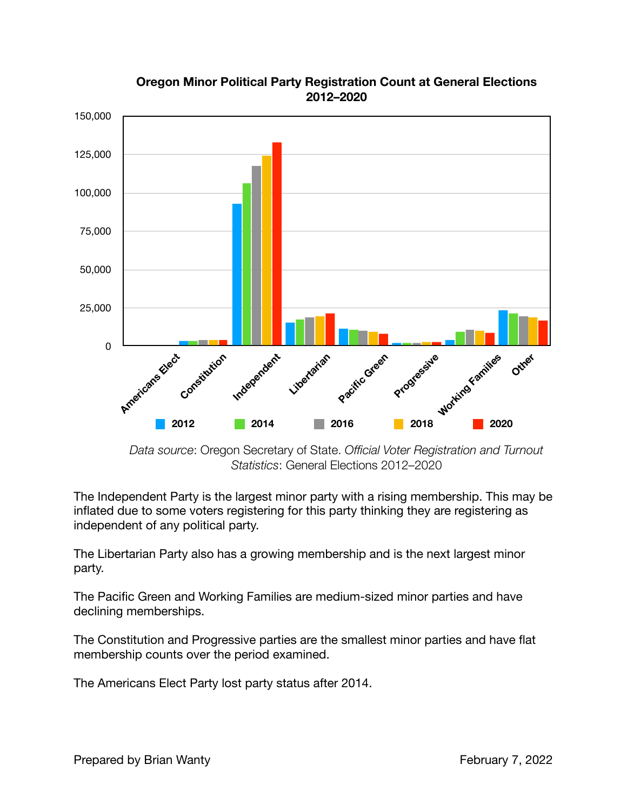

## **Oregon Minor Political Party Registration Count at General Elections 2012–2020**

*Data source*: Oregon Secretary of State. *Official Voter Registration and Turnout Statistics*: General Elections 2012–2020

The Independent Party is the largest minor party with a rising membership. This may be inflated due to some voters registering for this party thinking they are registering as independent of any political party.

The Libertarian Party also has a growing membership and is the next largest minor party.

The Pacific Green and Working Families are medium-sized minor parties and have declining memberships.

The Constitution and Progressive parties are the smallest minor parties and have flat membership counts over the period examined.

The Americans Elect Party lost party status after 2014.